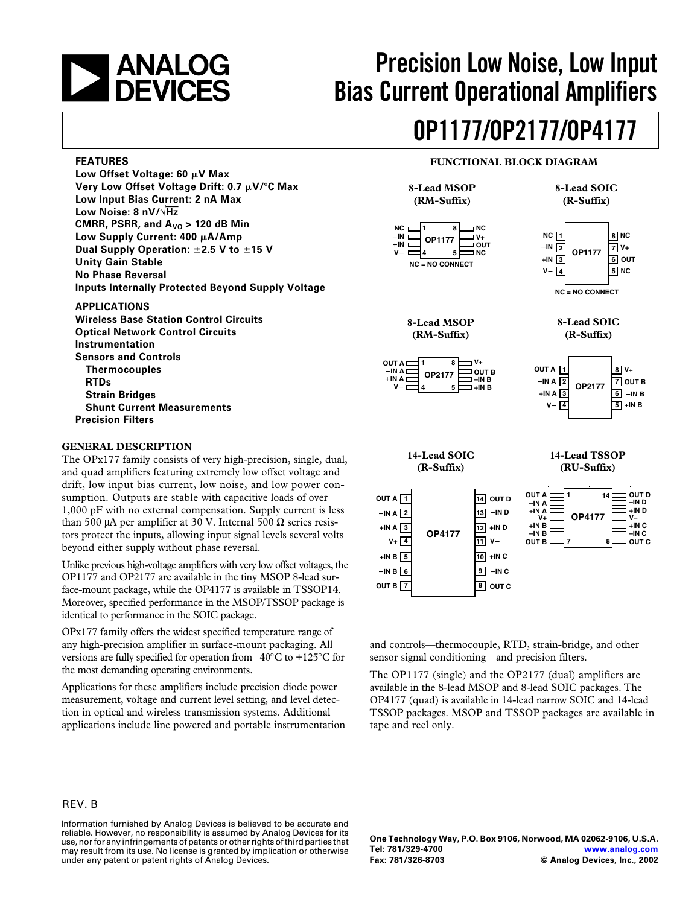

**FEATURES**

**Low Noise: 8 nV/**√**Hz**

**Unity Gain Stable No Phase Reversal**

**APPLICATIONS**

**Instrumentation Sensors and Controls Thermocouples**

**Strain Bridges**

**GENERAL DESCRIPTION**

**Precision Filters**

**RTDs**

# **Precision Low Noise, Low Input Bias Current Operational Amplifiers**

# **OP1177/OP2177/OP4177**

#### **FUNCTIONAL BLOCK DIAGRAM**



The OPx177 family consists of very high-precision, single, dual, and quad amplifiers featuring extremely low offset voltage and drift, low input bias current, low noise, and low power consumption. Outputs are stable with capacitive loads of over 1,000 pF with no external compensation. Supply current is less than 500 μA per amplifier at 30 V. Internal 500 Ω series resistors protect the inputs, allowing input signal levels several volts beyond either supply without phase reversal.

Unlike previous high-voltage amplifiers with very low offset voltages, the OP1177 and OP2177 are available in the tiny MSOP 8-lead surface-mount package, while the OP4177 is available in TSSOP14. Moreover, specified performance in the MSOP/TSSOP package is identical to performance in the SOIC package.

OPx177 family offers the widest specified temperature range of any high-precision amplifier in surface-mount packaging. All versions are fully specified for operation from  $-40^{\circ}$ C to  $+125^{\circ}$ C for the most demanding operating environments.

Applications for these amplifiers include precision diode power measurement, voltage and current level setting, and level detection in optical and wireless transmission systems. Additional applications include line powered and portable instrumentation





**NC = NO CONNECT**



**1 OUT A**  $-INA$ <sup>2</sup> **3 +IN A 4 V 8 V+ 7 OUT B 6 IN B 5 +IN B OP2177 IN A** 

**14-Lead SOIC**

**(R-Suffix)**





**7**

**8**

**OUT C**

**14-Lead TSSOP**

and controls—thermocouple, RTD, strain-bridge, and other sensor signal conditioning—and precision filters.

The OP1177 (single) and the OP2177 (dual) amplifiers are available in the 8-lead MSOP and 8-lead SOIC packages. The OP4177 (quad) is available in 14-lead narrow SOIC and 14-lead TSSOP packages. MSOP and TSSOP packages are available in tape and reel only.

## REV. B

Information furnished by Analog Devices is believed to be accurate and reliable. However, no responsibility is assumed by Analog Devices for its use, nor for any infringements of patents or other rights of third parties that may result from its use. No license is granted by implication or otherwise under any patent or patent rights of Analog Devices.

**One Technology Way, P.O. Box 9106, Norwood, MA 02062-9106, U.S.A. Tel: 781/329-4700 [www.analog.com](http://www.analog.com) Fax: 781/326-8703 © Analog Devices, Inc., 2002**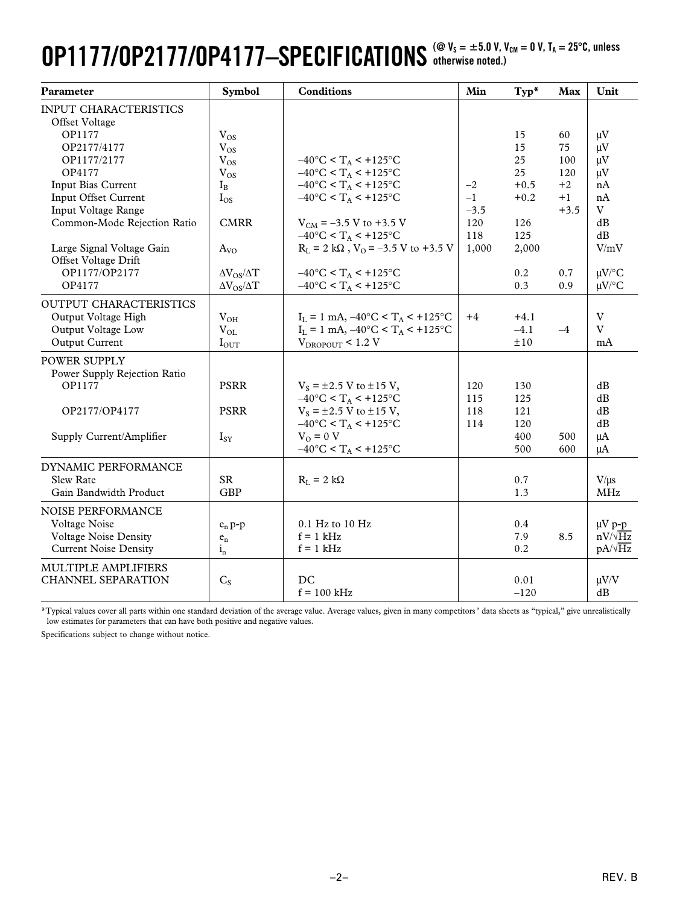## **OP1177/OP2177/OP4177-SPECIFICATIONS**  $^{\text{(@ V_s = ±5.0 V, V_{\text{CM}} = 0 V, T_A = 25°C, unless}}$ **otherwise noted.)**

| Parameter                                      | Symbol                   | <b>Conditions</b>                                   | Min    | $Typ*$     | <b>Max</b> | Unit                          |
|------------------------------------------------|--------------------------|-----------------------------------------------------|--------|------------|------------|-------------------------------|
| <b>INPUT CHARACTERISTICS</b><br>Offset Voltage |                          |                                                     |        |            |            |                               |
| OP1177                                         | $V_{OS}$                 |                                                     |        | 15         | 60         | $\mu V$                       |
| OP2177/4177                                    | $V_{OS}$                 |                                                     |        | 15         | 75         | $\mu V$                       |
| OP1177/2177                                    | $V_{OS}$                 | $-40^{\circ}$ C < T <sub>A</sub> < +125°C           |        | 25         | 100        | $\mu V$                       |
| OP4177                                         | $V_{OS}$                 | $-40^{\circ}$ C < T <sub>A</sub> < +125°C           |        | 25         | 120        | $\mu$ V                       |
| Input Bias Current                             | $I_{B}$                  | $-40^{\circ}$ C < T <sub>A</sub> < +125°C           | $-2$   | $+0.5$     | $+2$       | nA                            |
| Input Offset Current                           | $I_{OS}$                 | $-40^{\circ}$ C < T <sub>A</sub> < +125°C           | $-1$   | $+0.2$     | $+1$       | nA                            |
| Input Voltage Range                            |                          |                                                     | $-3.5$ |            | $+3.5$     | V                             |
| Common-Mode Rejection Ratio                    | <b>CMRR</b>              | $V_{CM}$ = -3.5 V to +3.5 V                         | 120    | 126        |            | dB                            |
|                                                |                          | $-40^{\circ}$ C < T <sub>A</sub> < +125°C           | 118    | 125        |            | dB                            |
| Large Signal Voltage Gain                      | $A_{VQ}$                 | $R_L = 2 k\Omega$ , $V_O = -3.5 V$ to +3.5 V        | 1,000  | 2,000      |            | V/mV                          |
| Offset Voltage Drift                           |                          |                                                     |        |            |            |                               |
| OP1177/OP2177                                  | $\Delta V_{OS}/\Delta T$ | $-40^{\circ}$ C < T <sub>A</sub> < +125°C           |        | 0.2        | 0.7        | $\mu V$ /°C                   |
| OP4177                                         | $\Delta V_{OS}/\Delta T$ | $-40^{\circ}$ C < T <sub>A</sub> < +125°C           |        | 0.3        | 0.9        | $\mu V$ /°C                   |
| OUTPUT CHARACTERISTICS                         |                          |                                                     |        |            |            |                               |
| Output Voltage High                            | $V_{OH}$                 | $I_L = 1$ mA, $-40^{\circ}C < T_A < +125^{\circ}C$  | $+4$   | $+4.1$     |            | $\ensuremath{\mathbf{V}}$     |
| Output Voltage Low                             | $V_{OL}$                 | $I_L = 1$ mA, $-40$ °C < T <sub>A</sub> < $+125$ °C |        | $-4.1$     | $-4$       | $\overline{V}$                |
| Output Current                                 | $I_{OUT}$                | $V_{DROPOUT}$ < 1.2 V                               |        | ±10        |            | mA                            |
| POWER SUPPLY                                   |                          |                                                     |        |            |            |                               |
| Power Supply Rejection Ratio                   |                          |                                                     |        |            |            |                               |
| OP1177                                         | <b>PSRR</b>              | $V_s = \pm 2.5$ V to $\pm 15$ V,                    | 120    | 130        |            | dB                            |
|                                                |                          | $-40^{\circ}$ C < T <sub>A</sub> < +125°C           | 115    | 125        |            | $\mathrm{dB}$                 |
| OP2177/OP4177                                  | <b>PSRR</b>              | $V_s = \pm 2.5$ V to $\pm 15$ V,                    | 118    | 121        |            | dB                            |
|                                                |                          | $-40^{\circ}$ C < T <sub>A</sub> < +125°C           | 114    | 120        |            | $\mathrm{dB}$                 |
| Supply Current/Amplifier                       | $I_{SY}$                 | $V_O = 0 V$                                         |        | 400        | 500        | $\mu A$                       |
|                                                |                          | $-40^{\circ}$ C < T <sub>A</sub> < +125°C           |        | 500        | 600        | μA                            |
| DYNAMIC PERFORMANCE                            |                          |                                                     |        |            |            |                               |
| <b>Slew Rate</b>                               | <b>SR</b>                | $R_L = 2 k\Omega$                                   |        | 0.7        |            | $V/\mu s$                     |
| Gain Bandwidth Product                         | <b>GBP</b>               |                                                     |        | 1.3        |            | <b>MHz</b>                    |
|                                                |                          |                                                     |        |            |            |                               |
| NOISE PERFORMANCE                              |                          |                                                     |        |            |            |                               |
| Voltage Noise<br><b>Voltage Noise Density</b>  | $e_n p-p$                | 0.1 Hz to 10 Hz<br>$f = 1$ kHz                      |        | 0.4<br>7.9 | 8.5        | $\mu V$ p-p<br>$nV/\sqrt{Hz}$ |
|                                                | $e_n$                    |                                                     |        |            |            | $pA/\sqrt{Hz}$                |
| <b>Current Noise Density</b>                   | $i_{n}$                  | $f = 1$ kHz                                         |        | 0.2        |            |                               |
| MULTIPLE AMPLIFIERS                            |                          |                                                     |        |            |            |                               |
| <b>CHANNEL SEPARATION</b>                      | $C_{S}$                  | DC                                                  |        | 0.01       |            | $\mu V/V$                     |
|                                                |                          | $f = 100$ kHz                                       |        | $-120$     |            | dB                            |

\*Typical values cover all parts within one standard deviation of the average value. Average values, given in many competitors ' data sheets as "typical," give unrealistically low estimates for parameters that can have both positive and negative values.

Specifications subject to change without notice.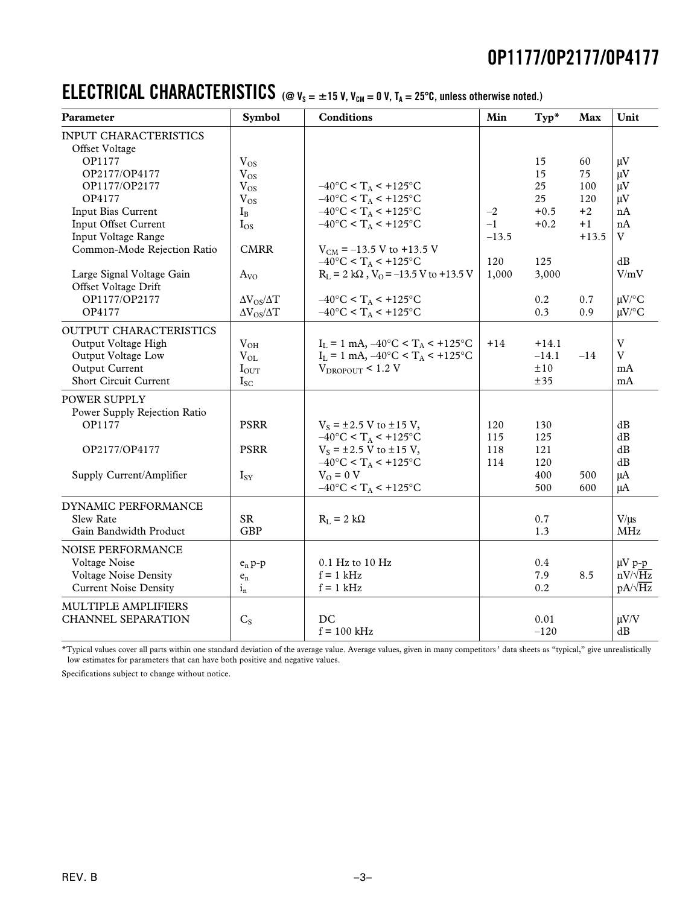## **ELECTRICAL CHARACTERISTICS** (@  $v_s = \pm 15$  V,  $v_{cm} = 0$  V,  $T_A = 25^\circ$ C, unless otherwise noted.)

| <b>Parameter</b>                                                                                                      | <b>Symbol</b>                                        | <b>Conditions</b>                                                                                                                                     | Min                     | Typ*                                  | Max                     | Unit                                            |
|-----------------------------------------------------------------------------------------------------------------------|------------------------------------------------------|-------------------------------------------------------------------------------------------------------------------------------------------------------|-------------------------|---------------------------------------|-------------------------|-------------------------------------------------|
| <b>INPUT CHARACTERISTICS</b><br>Offset Voltage                                                                        |                                                      |                                                                                                                                                       |                         |                                       |                         |                                                 |
| OP1177<br>OP2177/OP4177<br>OP1177/OP2177<br>OP4177                                                                    | $V_{OS}$<br>$V_{OS}$<br>$V_{OS}$<br>$V_{OS}$         | $-40^{\circ}$ C < T <sub>A</sub> < +125°C<br>$-40^{\circ}$ C < T <sub>A</sub> < +125°C                                                                |                         | 15<br>15<br>25<br>25                  | 60<br>75<br>100<br>120  | $\mu V$<br>$\mu$ V<br>$\mu V$<br>$\mu V$        |
| Input Bias Current<br>Input Offset Current<br>Input Voltage Range<br>Common-Mode Rejection Ratio                      | $I_{B}$<br>$I_{OS}$<br><b>CMRR</b>                   | $-40^{\circ}$ C < T <sub>A</sub> < $+125^{\circ}$ C<br>$-40^{\circ}$ C < T <sub>A</sub> < $+125^{\circ}$ C<br>$V_{CM}$ = -13.5 V to +13.5 V           | $-2$<br>$-1$<br>$-13.5$ | $+0.5$<br>$+0.2$                      | $+2$<br>$+1$<br>$+13.5$ | nA<br>nA<br>$\rm V$                             |
| Large Signal Voltage Gain<br>Offset Voltage Drift<br>OP1177/OP2177                                                    | $A_{VQ}$<br>$\Delta V_{OS}/\Delta T$                 | $-40^{\circ}$ C < T <sub>A</sub> < +125°C<br>$R_L = 2 k\Omega$ , $V_0 = -13.5 V$ to +13.5 V<br>$-40^{\circ}$ C < T <sub>A</sub> < +125°C              | 120<br>1,000            | 125<br>3,000<br>0.2                   | 0.7                     | dB<br>V/mV<br>$\mu V$ <sup>o</sup> C            |
| OP4177                                                                                                                | $\Delta V_{OS}/\Delta T$                             | $-40^{\circ}$ C < T <sub>A</sub> < +125°C                                                                                                             |                         | 0.3                                   | 0.9                     | $\mu$ V/°C                                      |
| OUTPUT CHARACTERISTICS<br>Output Voltage High<br>Output Voltage Low<br>Output Current<br><b>Short Circuit Current</b> | $V_{OH}$<br>$V_{OL}$<br>$I_{\text{OUT}}$<br>$I_{SC}$ | $I_L = 1$ mA, $-40^{\circ}C < T_A < +125^{\circ}C$<br>$I_L = 1$ mA, $-40^{\circ}C < T_A < +125^{\circ}C$<br>$V_{DROPOUT}$ < 1.2 V                     | $+14$                   | $+14.1$<br>$-14.1$<br>$\pm 10$<br>±35 | $-14$                   | $\mathbf{V}$<br>V<br>mA<br>mA                   |
| POWER SUPPLY<br>Power Supply Rejection Ratio<br>OP1177                                                                | <b>PSRR</b>                                          | $V_s = \pm 2.5$ V to $\pm 15$ V,<br>$-40^{\circ}$ C < T <sub>A</sub> < $+125^{\circ}$ C                                                               | 120<br>115              | 130<br>125                            |                         | dB<br>dB                                        |
| OP2177/OP4177<br>Supply Current/Amplifier                                                                             | <b>PSRR</b><br>$I_{SY}$                              | $V_s = \pm 2.5$ V to $\pm 15$ V,<br>$-40^{\circ}$ C < T <sub>A</sub> < +125°C<br>$V_{O} = 0 V$<br>$-40^{\circ}$ C < T <sub>A</sub> < $+125^{\circ}$ C | 118<br>114              | 121<br>120<br>400<br>500              | 500<br>600              | dB<br>dB<br>μA<br>μA                            |
| DYNAMIC PERFORMANCE<br><b>Slew Rate</b><br>Gain Bandwidth Product                                                     | <b>SR</b><br><b>GBP</b>                              | $R_L = 2 k\Omega$                                                                                                                                     |                         | 0.7<br>1.3                            |                         | $V/\mu s$<br><b>MHz</b>                         |
| NOISE PERFORMANCE<br>Voltage Noise<br><b>Voltage Noise Density</b><br><b>Current Noise Density</b>                    | $e_n p-p$<br>$\mathbf{e}_{\rm n}$<br>$i_{n}$         | 0.1 Hz to 10 Hz<br>$f = 1$ kHz<br>$f = 1$ kHz                                                                                                         |                         | 0.4<br>7.9<br>0.2                     | 8.5                     | $\mu V$ p-p<br>$nV/\sqrt{Hz}$<br>$pA/\sqrt{Hz}$ |
| MULTIPLE AMPLIFIERS<br>CHANNEL SEPARATION                                                                             | $C_{S}$                                              | DC<br>$f = 100$ kHz                                                                                                                                   |                         | 0.01<br>$-120$                        |                         | $\mu V/V$<br>dB                                 |

\*Typical values cover all parts within one standard deviation of the average value. Average values, given in many competitors ' data sheets as "typical," give unrealistically low estimates for parameters that can have both positive and negative values.

Specifications subject to change without notice.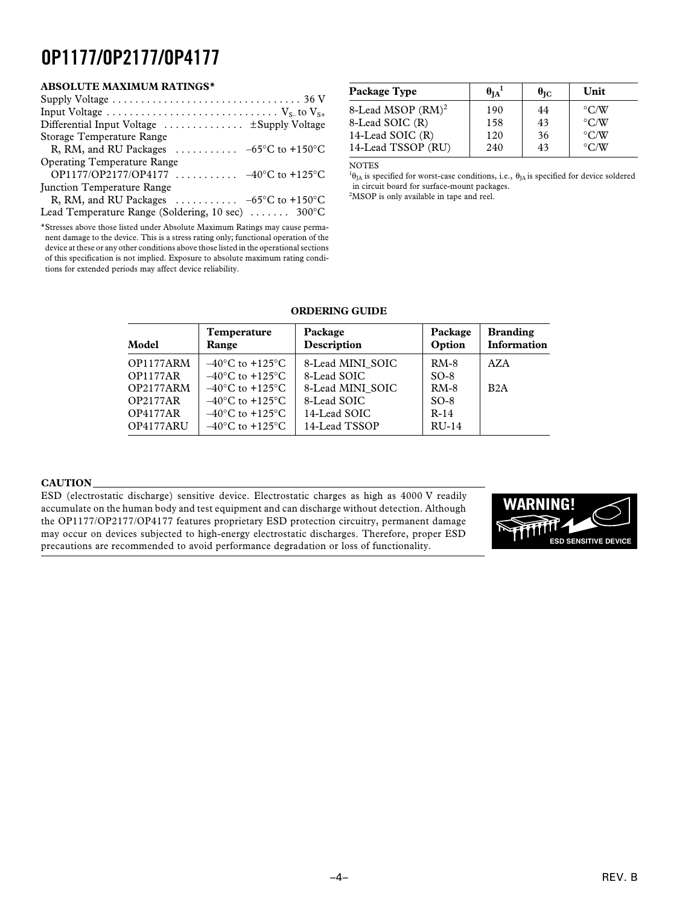## **ABSOLUTE MAXIMUM RATINGS\***

| Supply Voltage $\dots \dots \dots \dots \dots \dots \dots \dots \dots \dots \dots \dots$ 36 V |
|-----------------------------------------------------------------------------------------------|
|                                                                                               |
| Differential Input Voltage $\dots \dots \dots \dots$ $\pm$ Supply Voltage                     |
| Storage Temperature Range                                                                     |
| R, RM, and RU Packages $\ldots \ldots \ldots -65$ °C to +150°C                                |
| <b>Operating Temperature Range</b>                                                            |
| OP1177/OP2177/OP4177 $-40^{\circ}$ C to +125°C                                                |
| Junction Temperature Range                                                                    |
| R, RM, and RU Packages $\ldots \ldots \ldots -65$ °C to +150°C                                |
| Lead Temperature Range (Soldering, 10 sec)  300°C                                             |

\*Stresses above those listed under Absolute Maximum Ratings may cause permanent damage to the device. This is a stress rating only; functional operation of the device at these or any other conditions above those listed in the operational sections of this specification is not implied. Exposure to absolute maximum rating conditions for extended periods may affect device reliability.

| Package Type                  | $\theta_{IA}$ <sup>1</sup> | $\theta_{\rm IC}$ | Unit               |
|-------------------------------|----------------------------|-------------------|--------------------|
| 8-Lead MSOP (RM) <sup>2</sup> | 190                        | 44                | $\rm ^{\circ}$ C/W |
| 8-Lead SOIC (R)               | 158                        | 43                | $\rm ^{\circ}$ C/W |
| 14-Lead SOIC (R)              | 120                        | 36                | $\rm ^{\circ}$ C/W |
| 14-Lead TSSOP (RU)            | 240                        | 43                | $\rm ^{\circ}$ C/W |

NOTES

<sup>1</sup> $\theta_{JA}$  is specified for worst-case conditions, i.e.,  $\theta_{JA}$  is specified for device soldered in circuit board for surface-mount packages.

<sup>2</sup>MSOP is only available in tape and reel.

#### **ORDERING GUIDE**

| Model                                                                           | <b>Temperature</b><br>Range                                                                                                                                                                     | Package<br>Description                                                             | Package<br>Option                              | <b>Branding</b><br>Information |
|---------------------------------------------------------------------------------|-------------------------------------------------------------------------------------------------------------------------------------------------------------------------------------------------|------------------------------------------------------------------------------------|------------------------------------------------|--------------------------------|
| OP1177ARM<br><b>OP1177AR</b><br>OP2177ARM<br><b>OP2177AR</b><br><b>OP4177AR</b> | $-40^{\circ}$ C to $+125^{\circ}$ C<br>$-40^{\circ}$ C to $+125^{\circ}$ C<br>$-40^{\circ}$ C to $+125^{\circ}$ C<br>$-40^{\circ}$ C to $+125^{\circ}$ C<br>$-40^{\circ}$ C to $+125^{\circ}$ C | 8-Lead MINI SOIC<br>8-Lead SOIC<br>8-Lead MINI SOIC<br>8-Lead SOIC<br>14-Lead SOIC | $RM-8$<br>$SO-8$<br>$RM-8$<br>$SO-8$<br>$R-14$ | AZA<br>B2A                     |
| OP4177ARU                                                                       | $-40^{\circ}$ C to $+125^{\circ}$ C                                                                                                                                                             | 14-Lead TSSOP                                                                      | $RU-14$                                        |                                |

#### **CAUTION**

ESD (electrostatic discharge) sensitive device. Electrostatic charges as high as 4000 V readily accumulate on the human body and test equipment and can discharge without detection. Although the OP1177/OP2177/OP4177 features proprietary ESD protection circuitry, permanent damage may occur on devices subjected to high-energy electrostatic discharges. Therefore, proper ESD precautions are recommended to avoid performance degradation or loss of functionality.

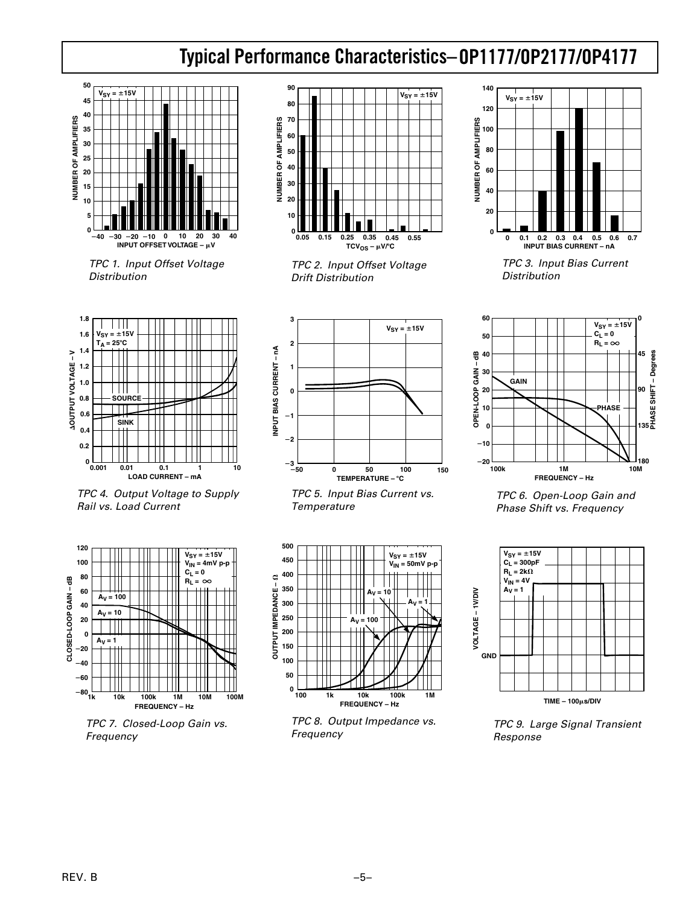# **OP1177/OP2177/OP4177 Typical Performance Characteristics–**



 TPC 1. Input Offset Voltage Distribution



 TPC 2. Input Offset Voltage Drift Distribution



 TPC 3. Input Bias Current **Distribution** 



 TPC 4. Output Voltage to Supply Rail vs. Load Current



 TPC 7. Closed-Loop Gain vs. Frequency



 TPC 5. Input Bias Current vs. **Temperature** 



 TPC 8. Output Impedance vs. Frequency



 TPC 6. Open-Loop Gain and Phase Shift vs. Frequency



 TPC 9. Large Signal Transient Response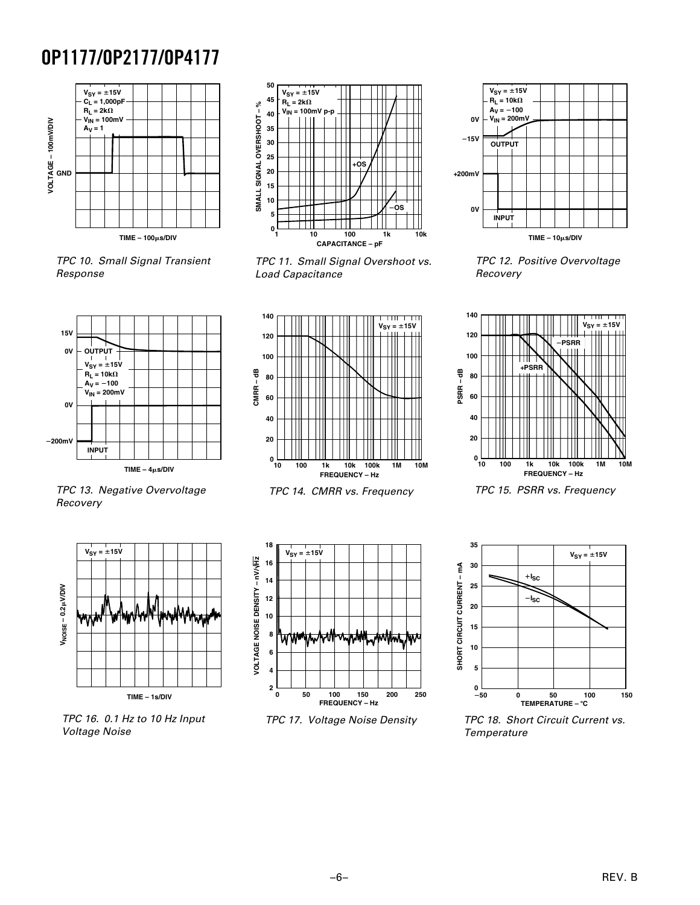

 TPC 10. Small Signal Transient Response



 TPC 11. Small Signal Overshoot vs. Load Capacitance



 TPC 13. Negative Overvoltage Recovery



 TPC 16. 0.1 Hz to 10 Hz Input Voltage Noise



TPC 14. CMRR vs. Frequency



TPC 17. Voltage Noise Density



 TPC 12. Positive Overvoltage Recovery



TPC 15. PSRR vs. Frequency



 TPC 18. Short Circuit Current vs. **Temperature** 

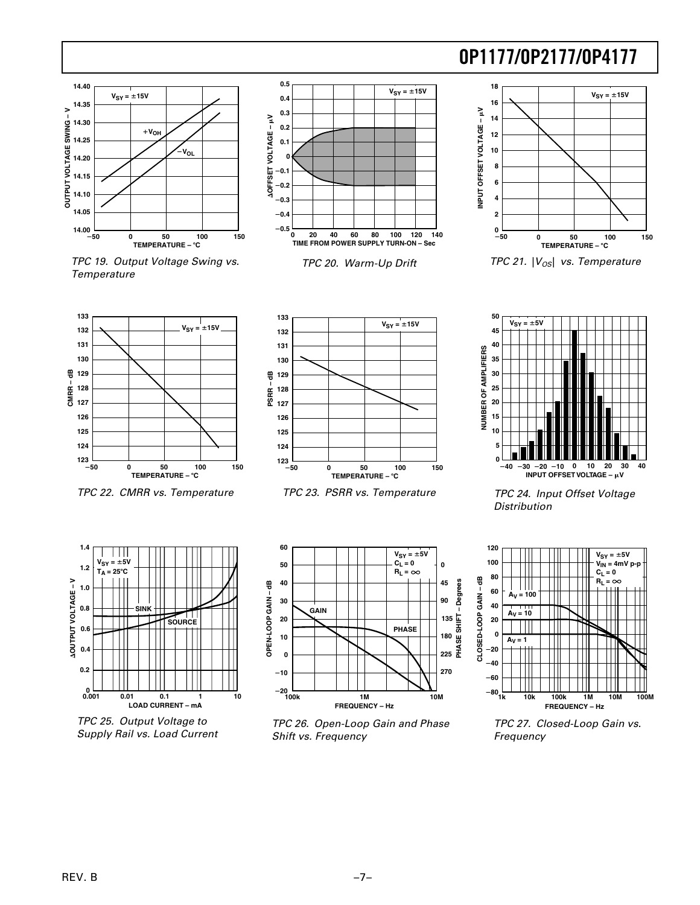

 TPC 19. Output Voltage Swing vs. **Temperature** 



TPC 20. Warm-Up Drift





TPC 21.  $|V_{OS}|$  vs. Temperature



TPC 22. CMRR vs. Temperature



TPC 23. PSRR vs. Temperature



 TPC 24. Input Offset Voltage **Distribution** 



 TPC 25. Output Voltage to Supply Rail vs. Load Current



 TPC 26. Open-Loop Gain and Phase Shift vs. Frequency



 TPC 27. Closed-Loop Gain vs. Frequency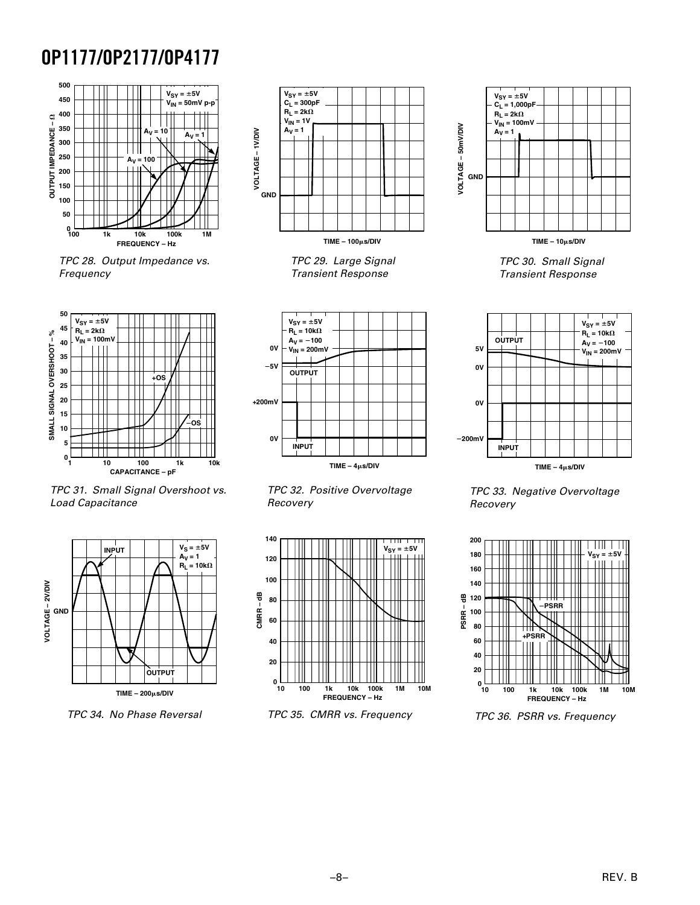

 TPC 28. Output Impedance vs. Frequency



 TPC 31. Small Signal Overshoot vs. Load Capacitance



TPC 34. No Phase Reversal



 TPC 29. Large Signal Transient Response







TPC 35. CMRR vs. Frequency



**TIME – 10s/DIV**

 TPC 30. Small Signal Transient Response



 TPC 33. Negative Overvoltage Recovery



TPC 36. PSRR vs. Frequency

**TIME – 4s/DIV**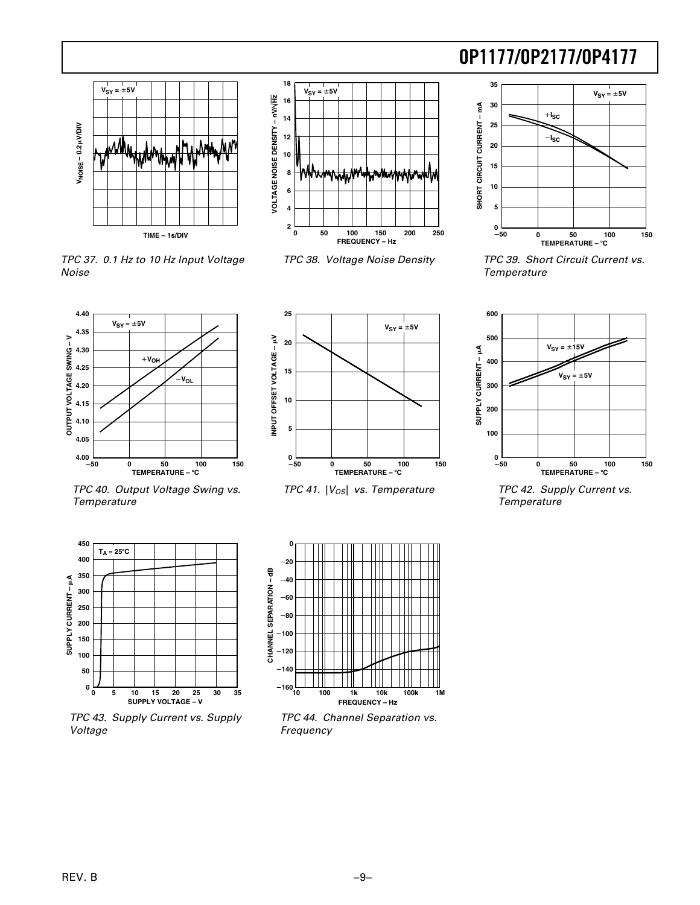



TPC 37. 0.1 Hz to 10 Hz Input Voltage

Noise



TPC 38. Voltage Noise Density



 TPC 39. Short Circuit Current vs. **Temperature** 









 TPC 42. Supply Current vs. Temperature





 TPC 43. Supply Current vs. Supply Voltage



 TPC 44. Channel Separation vs. Frequency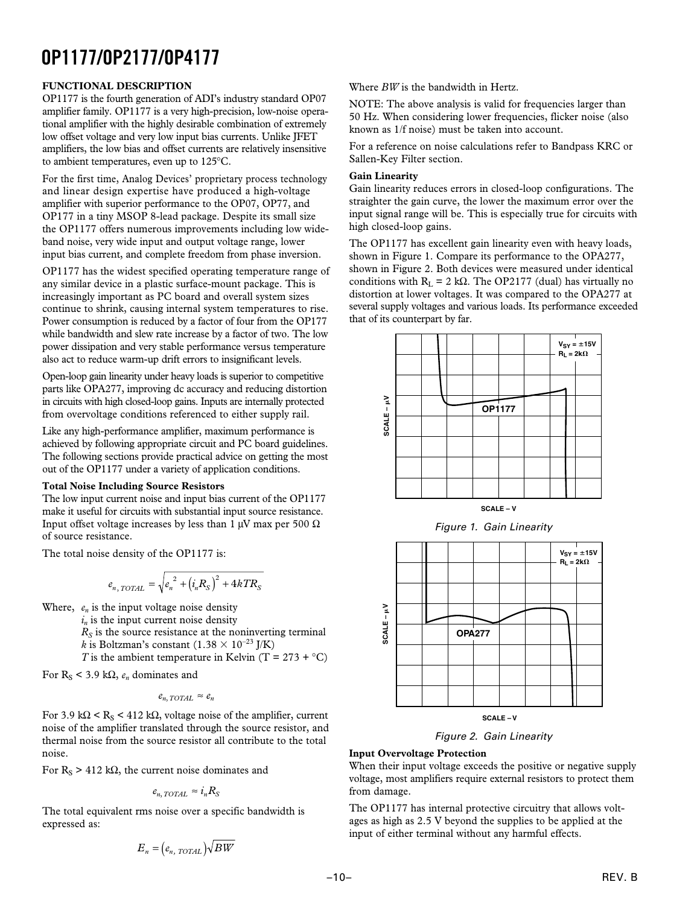### **FUNCTIONAL DESCRIPTION**

OP1177 is the fourth generation of ADI's industry standard OP07 amplifier family. OP1177 is a very high-precision, low-noise operational amplifier with the highly desirable combination of extremely low offset voltage and very low input bias currents. Unlike JFET amplifiers, the low bias and offset currents are relatively insensitive to ambient temperatures, even up to 125°C.

For the first time, Analog Devices' proprietary process technology and linear design expertise have produced a high-voltage amplifier with superior performance to the OP07, OP77, and OP177 in a tiny MSOP 8-lead package. Despite its small size the OP1177 offers numerous improvements including low wideband noise, very wide input and output voltage range, lower input bias current, and complete freedom from phase inversion.

OP1177 has the widest specified operating temperature range of any similar device in a plastic surface-mount package. This is increasingly important as PC board and overall system sizes continue to shrink, causing internal system temperatures to rise. Power consumption is reduced by a factor of four from the OP177 while bandwidth and slew rate increase by a factor of two. The low power dissipation and very stable performance versus temperature also act to reduce warm-up drift errors to insignificant levels.

Open-loop gain linearity under heavy loads is superior to competitive parts like OPA277, improving dc accuracy and reducing distortion in circuits with high closed-loop gains. Inputs are internally protected from overvoltage conditions referenced to either supply rail.

Like any high-performance amplifier, maximum performance is achieved by following appropriate circuit and PC board guidelines. The following sections provide practical advice on getting the most out of the OP1177 under a variety of application conditions.

#### **Total Noise Including Source Resistors**

The low input current noise and input bias current of the OP1177 make it useful for circuits with substantial input source resistance. Input offset voltage increases by less than 1  $\mu$ V max per 500  $\Omega$ of source resistance.

The total noise density of the OP1177 is:

$$
e_{n, \, TOTAL} = \sqrt{e_n^2 + \left(i_n R_S\right)^2 + 4kTR_S}
$$

Where, *en* is the input voltage noise density

 $i_n$  is the input current noise density

 $R<sub>S</sub>$  is the source resistance at the noninverting terminal *k* is Boltzman's constant  $(1.38 \times 10^{-23}$  J/K)

*T* is the ambient temperature in Kelvin  $(T = 273 + °C)$ 

For  $R_s$  < 3.9 k $\Omega$ ,  $e_n$  dominates and

$$
e_{n,\;TOTAL} \approx e_n
$$

For 3.9 k $\Omega$  < R<sub>S</sub> < 412 k $\Omega$ , voltage noise of the amplifier, current noise of the amplifier translated through the source resistor, and thermal noise from the source resistor all contribute to the total noise.

For  $R_S > 412$  k $\Omega$ , the current noise dominates and

$$
e_{n, \, TOTAL} \approx i_n R_S
$$

The total equivalent rms noise over a specific bandwidth is expressed as:

$$
E_n = \left(e_{n, \; TOTAL}\right) \sqrt{BW}
$$

Where *BW* is the bandwidth in Hertz.

NOTE: The above analysis is valid for frequencies larger than 50 Hz. When considering lower frequencies, flicker noise (also known as 1/f noise) must be taken into account.

For a reference on noise calculations refer to Bandpass KRC or Sallen-Key Filter section.

#### **Gain Linearity**

Gain linearity reduces errors in closed-loop configurations. The straighter the gain curve, the lower the maximum error over the input signal range will be. This is especially true for circuits with high closed-loop gains.

The OP1177 has excellent gain linearity even with heavy loads, shown in Figure 1. Compare its performance to the OPA277, shown in Figure 2. Both devices were measured under identical conditions with  $R_L = 2 k\Omega$ . The OP2177 (dual) has virtually no distortion at lower voltages. It was compared to the OPA277 at several supply voltages and various loads. Its performance exceeded that of its counterpart by far.





Figure 2. Gain Linearity

#### **Input Overvoltage Protection**

When their input voltage exceeds the positive or negative supply voltage, most amplifiers require external resistors to protect them from damage.

The OP1177 has internal protective circuitry that allows voltages as high as 2.5 V beyond the supplies to be applied at the input of either terminal without any harmful effects.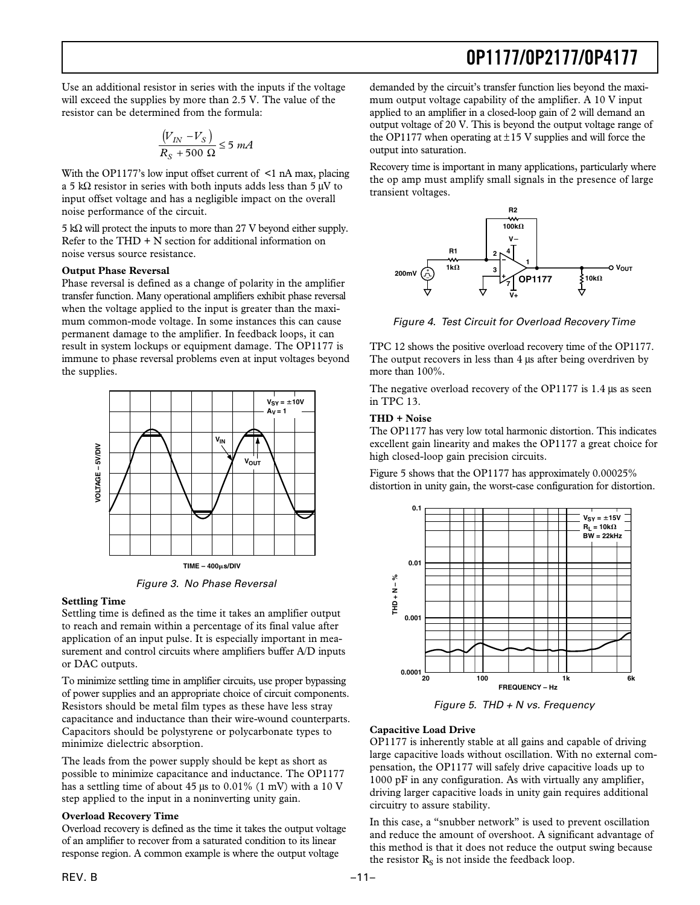Use an additional resistor in series with the inputs if the voltage will exceed the supplies by more than 2.5 V. The value of the resistor can be determined from the formula:

$$
\frac{\left(V_{IN} - V_S\right)}{R_S + 500 \ \Omega} \le 5 \ mA
$$

With the OP1177's low input offset current of  $\leq 1$  nA max, placing a 5 kΩ resistor in series with both inputs adds less than 5  $\mu$ V to input offset voltage and has a negligible impact on the overall noise performance of the circuit.

5 kΩ will protect the inputs to more than 27 V beyond either supply. Refer to the  $THD + N$  section for additional information on noise versus source resistance.

### **Output Phase Reversal**

Phase reversal is defined as a change of polarity in the amplifier transfer function. Many operational amplifiers exhibit phase reversal when the voltage applied to the input is greater than the maximum common-mode voltage. In some instances this can cause permanent damage to the amplifier. In feedback loops, it can result in system lockups or equipment damage. The OP1177 is immune to phase reversal problems even at input voltages beyond the supplies.



Figure 3. No Phase Reversal

#### **Settling Time**

Settling time is defined as the time it takes an amplifier output to reach and remain within a percentage of its final value after application of an input pulse. It is especially important in measurement and control circuits where amplifiers buffer A/D inputs or DAC outputs.

To minimize settling time in amplifier circuits, use proper bypassing of power supplies and an appropriate choice of circuit components. Resistors should be metal film types as these have less stray capacitance and inductance than their wire-wound counterparts. Capacitors should be polystyrene or polycarbonate types to minimize dielectric absorption.

The leads from the power supply should be kept as short as possible to minimize capacitance and inductance. The OP1177 has a settling time of about 45 µs to 0.01% (1 mV) with a 10 V step applied to the input in a noninverting unity gain.

#### **Overload Recovery Time**

Overload recovery is defined as the time it takes the output voltage of an amplifier to recover from a saturated condition to its linear response region. A common example is where the output voltage

demanded by the circuit's transfer function lies beyond the maximum output voltage capability of the amplifier. A 10 V input applied to an amplifier in a closed-loop gain of 2 will demand an output voltage of 20 V. This is beyond the output voltage range of the OP1177 when operating at  $\pm$ 15 V supplies and will force the output into saturation.

Recovery time is important in many applications, particularly where the op amp must amplify small signals in the presence of large transient voltages.



Figure 4. Test Circuit for Overload Recovery Time

TPC 12 shows the positive overload recovery time of the OP1177. The output recovers in less than 4  $\mu$ s after being overdriven by more than 100%.

The negative overload recovery of the OP1177 is 1.4 µs as seen in TPC 13.

## **THD + Noise**

The OP1177 has very low total harmonic distortion. This indicates excellent gain linearity and makes the OP1177 a great choice for high closed-loop gain precision circuits.

Figure 5 shows that the OP1177 has approximately 0.00025% distortion in unity gain, the worst-case configuration for distortion.



Figure 5. THD  $+$  N vs. Frequency

## **Capacitive Load Drive**

OP1177 is inherently stable at all gains and capable of driving large capacitive loads without oscillation. With no external compensation, the OP1177 will safely drive capacitive loads up to 1000 pF in any configuration. As with virtually any amplifier, driving larger capacitive loads in unity gain requires additional circuitry to assure stability.

In this case, a "snubber network" is used to prevent oscillation and reduce the amount of overshoot. A significant advantage of this method is that it does not reduce the output swing because the resistor  $R<sub>S</sub>$  is not inside the feedback loop.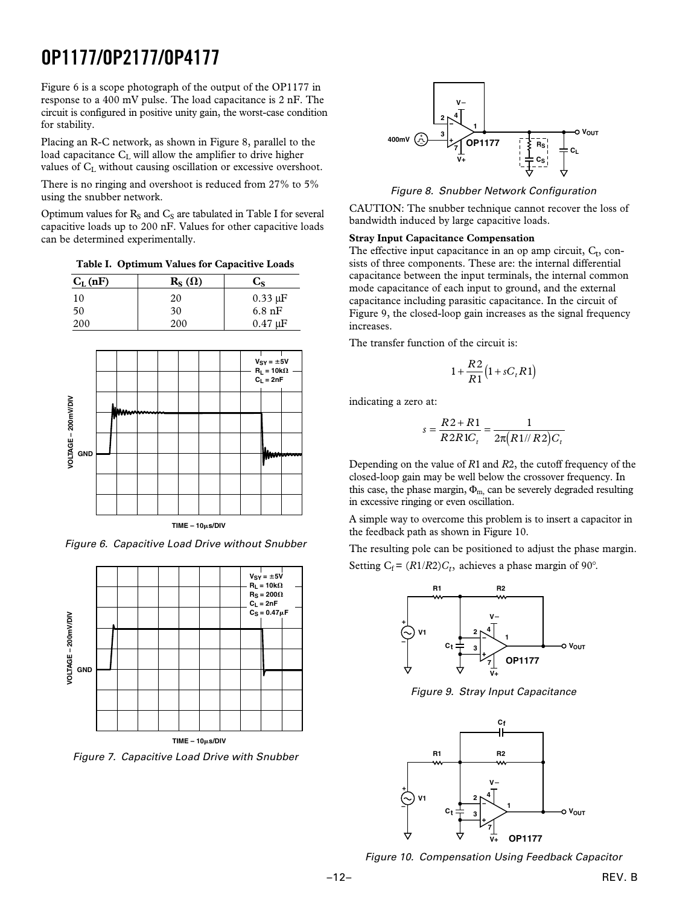Figure 6 is a scope photograph of the output of the OP1177 in response to a 400 mV pulse. The load capacitance is 2 nF. The circuit is configured in positive unity gain, the worst-case condition for stability.

Placing an R-C network, as shown in Figure 8, parallel to the load capacitance C<sub>L</sub> will allow the amplifier to drive higher values of  $C_L$  without causing oscillation or excessive overshoot.

There is no ringing and overshoot is reduced from 27% to 5% using the snubber network.

Optimum values for  $R_S$  and  $C_S$  are tabulated in Table I for several capacitive loads up to 200 nF. Values for other capacitive loads can be determined experimentally.

**Table I. Optimum Values for Capacitive Loads**

| $C_{L}$ (nF) | $\mathbf{R}_{\mathbf{S}}(\Omega)$ | $C_{S}$                    |
|--------------|-----------------------------------|----------------------------|
| 10           | 20                                | $0.33 \mu F$               |
| 50           | 30                                | $6.8 \text{ nF}$           |
| 200          | 200                               | $0.47 \text{ }\mu\text{F}$ |



Figure 6. Capacitive Load Drive without Snubber



Figure 7. Capacitive Load Drive with Snubber



Figure 8. Snubber Network Configuration

CAUTION: The snubber technique cannot recover the loss of bandwidth induced by large capacitive loads.

#### **Stray Input Capacitance Compensation**

The effective input capacitance in an op amp circuit,  $C_t$ , consists of three components. These are: the internal differential capacitance between the input terminals, the internal common mode capacitance of each input to ground, and the external capacitance including parasitic capacitance. In the circuit of Figure 9, the closed-loop gain increases as the signal frequency increases.

The transfer function of the circuit is:

$$
1+\frac{R2}{R1}\big(1+sC_tR1\big)
$$

indicating a zero at:

$$
s = \frac{R2 + R1}{R2R1C_t} = \frac{1}{2\pi (R1 / R2)C_t}
$$

Depending on the value of *R*1 and *R*2, the cutoff frequency of the closed-loop gain may be well below the crossover frequency. In this case, the phase margin,  $\Phi_{m}$  can be severely degraded resulting in excessive ringing or even oscillation.

A simple way to overcome this problem is to insert a capacitor in the feedback path as shown in Figure 10.

The resulting pole can be positioned to adjust the phase margin. Setting  $C_f = (R1/R2)C_t$ , achieves a phase margin of 90°.



Figure 9. Stray Input Capacitance



Figure 10. Compensation Using Feedback Capacitor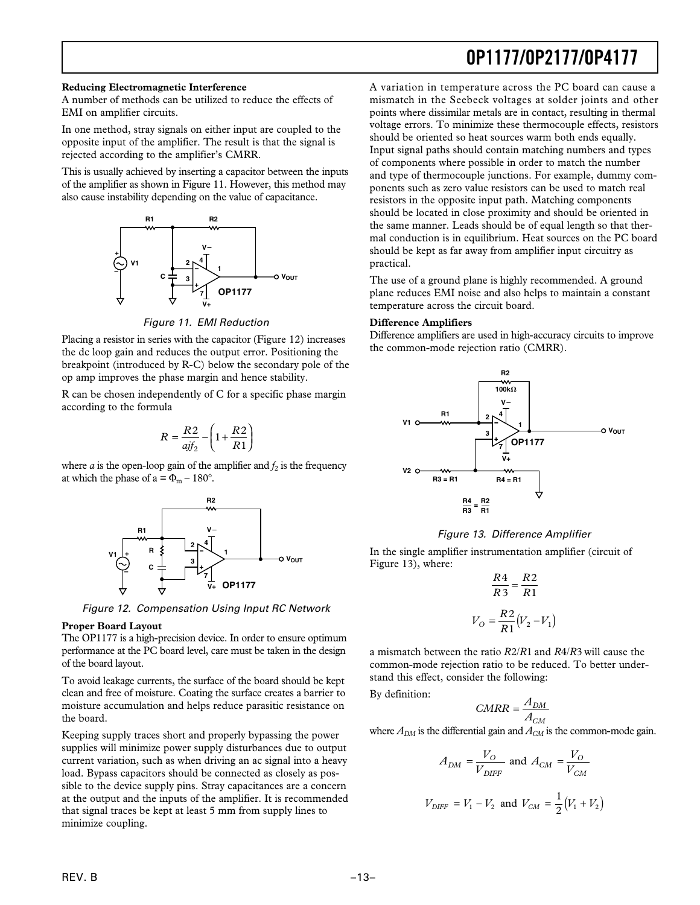#### **Reducing Electromagnetic Interference**

A number of methods can be utilized to reduce the effects of EMI on amplifier circuits.

In one method, stray signals on either input are coupled to the opposite input of the amplifier. The result is that the signal is rejected according to the amplifier's CMRR.

This is usually achieved by inserting a capacitor between the inputs of the amplifier as shown in Figure 11. However, this method may also cause instability depending on the value of capacitance.



Figure 11. EMI Reduction

Placing a resistor in series with the capacitor (Figure 12) increases the dc loop gain and reduces the output error. Positioning the breakpoint (introduced by R-C) below the secondary pole of the op amp improves the phase margin and hence stability.

R can be chosen independently of C for a specific phase margin according to the formula

$$
R = \frac{R2}{ajf_2} - \left(1 + \frac{R2}{R1}\right)
$$

where  $a$  is the open-loop gain of the amplifier and  $f_2$  is the frequency at which the phase of a =  $\Phi_{\rm m}$  – 180°.



Figure 12. Compensation Using Input RC Network

#### **Proper Board Layout**

The OP1177 is a high-precision device. In order to ensure optimum performance at the PC board level, care must be taken in the design of the board layout.

To avoid leakage currents, the surface of the board should be kept clean and free of moisture. Coating the surface creates a barrier to moisture accumulation and helps reduce parasitic resistance on the board.

Keeping supply traces short and properly bypassing the power supplies will minimize power supply disturbances due to output current variation, such as when driving an ac signal into a heavy load. Bypass capacitors should be connected as closely as possible to the device supply pins. Stray capacitances are a concern at the output and the inputs of the amplifier. It is recommended that signal traces be kept at least 5 mm from supply lines to minimize coupling.

A variation in temperature across the PC board can cause a mismatch in the Seebeck voltages at solder joints and other points where dissimilar metals are in contact, resulting in thermal voltage errors. To minimize these thermocouple effects, resistors should be oriented so heat sources warm both ends equally. Input signal paths should contain matching numbers and types of components where possible in order to match the number and type of thermocouple junctions. For example, dummy components such as zero value resistors can be used to match real resistors in the opposite input path. Matching components should be located in close proximity and should be oriented in the same manner. Leads should be of equal length so that thermal conduction is in equilibrium. Heat sources on the PC board should be kept as far away from amplifier input circuitry as practical.

The use of a ground plane is highly recommended. A ground plane reduces EMI noise and also helps to maintain a constant temperature across the circuit board.

#### **Difference Amplifiers**

Difference amplifiers are used in high-accuracy circuits to improve the common-mode rejection ratio (CMRR).



#### Figure 13. Difference Amplifier

In the single amplifier instrumentation amplifier (circuit of Figure 13), where:

$$
\frac{R4}{R3} = \frac{R2}{R1}
$$

$$
V_O = \frac{R2}{R1}(V_2 - V_1)
$$

a mismatch between the ratio *R*2/*R*1 and *R*4/*R*3 will cause the common-mode rejection ratio to be reduced. To better understand this effect, consider the following:

By definition:

$$
CMRR = \frac{A_{DM}}{A_{CM}}
$$

where  $A_{DM}$  is the differential gain and  $A_{CM}$  is the common-mode gain.

$$
A_{DM} = \frac{V_O}{V_{DIFF}} \text{ and } A_{CM} = \frac{V_O}{V_{CM}}
$$
  

$$
V_{DIFF} = V_1 - V_2 \text{ and } V_{CM} = \frac{1}{2}(V_1 + V_2)
$$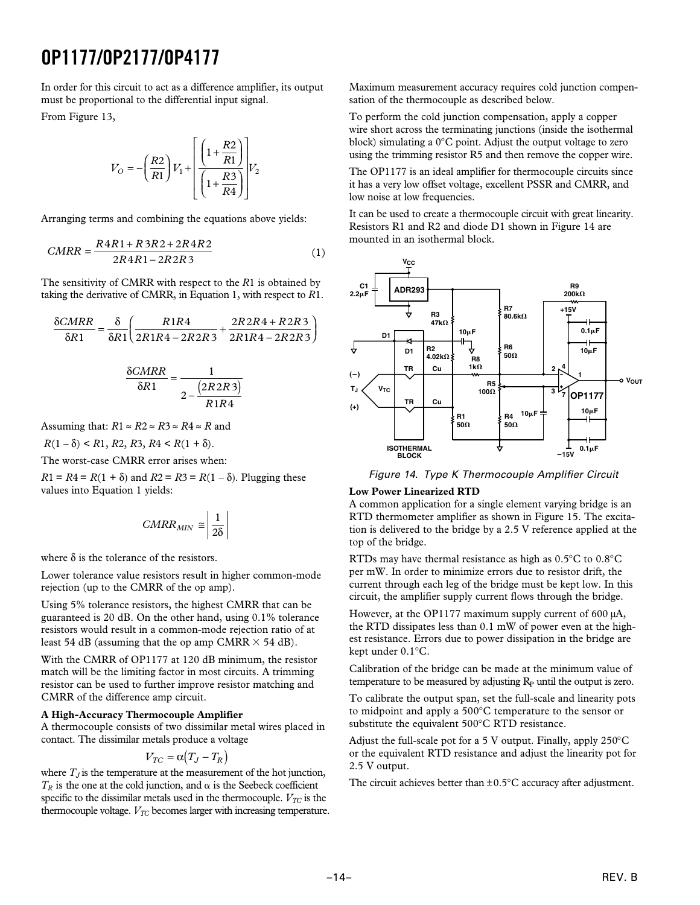In order for this circuit to act as a difference amplifier, its output must be proportional to the differential input signal.

From Figure 13,

$$
V_O = -\left(\frac{R2}{R1}\right) V_1 + \left[\frac{\left(1 + \frac{R2}{R1}\right)}{\left(1 + \frac{R3}{R4}\right)}\right] V_2
$$

Arranging terms and combining the equations above yields:

$$
CMRR = \frac{R4R1 + R3R2 + 2R4R2}{2R4R1 - 2R2R3}
$$
 (1)

The sensitivity of CMRR with respect to the *R*1 is obtained by taking the derivative of CMRR, in Equation 1, with respect to *R*1.

$$
\frac{\delta CMRR}{\delta R1} = \frac{\delta}{\delta R1} \left( \frac{R1R4}{2R1R4 - 2R2R3} + \frac{2R2R4 + R2R3}{2R1R4 - 2R2R3} \right)
$$

$$
\frac{\delta CMRR}{\delta R1} = \frac{1}{2 - \frac{(2R2R3)}{R1R4}}
$$

Assuming that:  $R1 \approx R2 \approx R3 \approx R4 \approx R$  and

$$
R(1-\delta) < R1, R2, R3, R4 < R(1+\delta).
$$

The worst-case CMRR error arises when:

*R*1 = *R*4 = *R*(1 +  $\delta$ ) and *R*2 = *R*3 = *R*(1 –  $\delta$ ). Plugging these values into Equation 1 yields:

$$
CMRR_{MIN} \cong \left| \frac{1}{2\delta} \right|
$$

where  $\delta$  is the tolerance of the resistors.

Lower tolerance value resistors result in higher common-mode rejection (up to the CMRR of the op amp).

Using 5% tolerance resistors, the highest CMRR that can be guaranteed is 20 dB. On the other hand, using 0.1% tolerance resistors would result in a common-mode rejection ratio of at least 54 dB (assuming that the op amp CMRR  $\times$  54 dB).

With the CMRR of OP1177 at 120 dB minimum, the resistor match will be the limiting factor in most circuits. A trimming resistor can be used to further improve resistor matching and CMRR of the difference amp circuit.

## **A High-Accuracy Thermocouple Amplifier**

A thermocouple consists of two dissimilar metal wires placed in contact. The dissimilar metals produce a voltage

$$
V_{TC} = \alpha (T_J - T_R)
$$

where  $T_J$  is the temperature at the measurement of the hot junction,  $T_R$  is the one at the cold junction, and  $\alpha$  is the Seebeck coefficient specific to the dissimilar metals used in the thermocouple.  $V_{TC}$  is the thermocouple voltage.  $V_{TC}$  becomes larger with increasing temperature. Maximum measurement accuracy requires cold junction compensation of the thermocouple as described below.

To perform the cold junction compensation, apply a copper wire short across the terminating junctions (inside the isothermal block) simulating a 0°C point. Adjust the output voltage to zero using the trimming resistor R5 and then remove the copper wire.

The OP1177 is an ideal amplifier for thermocouple circuits since it has a very low offset voltage, excellent PSSR and CMRR, and low noise at low frequencies.

It can be used to create a thermocouple circuit with great linearity. Resistors R1 and R2 and diode D1 shown in Figure 14 are mounted in an isothermal block.



Figure 14. Type K Thermocouple Amplifier Circuit

## **Low Power Linearized RTD**

A common application for a single element varying bridge is an RTD thermometer amplifier as shown in Figure 15. The excitation is delivered to the bridge by a 2.5 V reference applied at the top of the bridge.

RTDs may have thermal resistance as high as 0.5°C to 0.8°C per mW. In order to minimize errors due to resistor drift, the current through each leg of the bridge must be kept low. In this circuit, the amplifier supply current flows through the bridge.

However, at the OP1177 maximum supply current of 600  $\mu$ A, the RTD dissipates less than 0.1 mW of power even at the highest resistance. Errors due to power dissipation in the bridge are kept under 0.1°C.

Calibration of the bridge can be made at the minimum value of temperature to be measured by adjusting  $R<sub>p</sub>$  until the output is zero.

To calibrate the output span, set the full-scale and linearity pots to midpoint and apply a 500°C temperature to the sensor or substitute the equivalent 500°C RTD resistance.

Adjust the full-scale pot for a 5 V output. Finally, apply 250°C or the equivalent RTD resistance and adjust the linearity pot for 2.5 V output.

The circuit achieves better than  $\pm 0.5^{\circ}$ C accuracy after adjustment.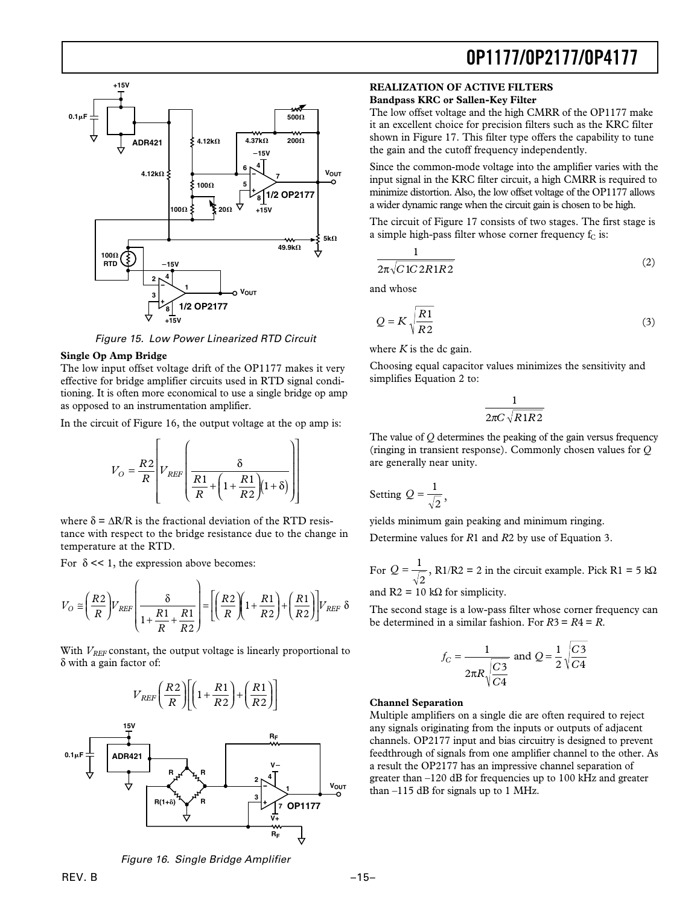

Figure 15. Low Power Linearized RTD Circuit

#### **Single Op Amp Bridge**

The low input offset voltage drift of the OP1177 makes it very effective for bridge amplifier circuits used in RTD signal conditioning. It is often more economical to use a single bridge op amp as opposed to an instrumentation amplifier.

In the circuit of Figure 16, the output voltage at the op amp is:

$$
V_O = \frac{R2}{R} \left[ V_{REF} \left( \frac{\delta}{\frac{R1}{R} + \left( 1 + \frac{R1}{R2} \right) (1 + \delta)} \right) \right]
$$

where  $\delta = \Delta R/R$  is the fractional deviation of the RTD resistance with respect to the bridge resistance due to the change in temperature at the RTD.

For  $\delta \ll 1$ , the expression above becomes:

$$
V_O \cong \left(\frac{R2}{R}\right) V_{REF} \left(\frac{\delta}{1 + \frac{R1}{R} + \frac{R1}{R2}}\right) = \left[\left(\frac{R2}{R}\right) \left(1 + \frac{R1}{R2}\right) + \left(\frac{R1}{R2}\right) \right] V_{REF} \delta
$$

With  $V_{REF}$  constant, the output voltage is linearly proportional to δ with a gain factor of:



#### **REALIZATION OF ACTIVE FILTERS Bandpass KRC or Sallen-Key Filter**

The low offset voltage and the high CMRR of the OP1177 make it an excellent choice for precision filters such as the KRC filter shown in Figure 17. This filter type offers the capability to tune the gain and the cutoff frequency independently.

**OP1177/OP2177/OP4177**

Since the common-mode voltage into the amplifier varies with the input signal in the KRC filter circuit, a high CMRR is required to minimize distortion. Also, the low offset voltage of the OP1177 allows a wider dynamic range when the circuit gain is chosen to be high.

The circuit of Figure 17 consists of two stages. The first stage is a simple high-pass filter whose corner frequency  $f_C$  is:

$$
\frac{1}{2\pi\sqrt{C1C2R1R2}}
$$
 (2)

and whose

$$
Q = K \sqrt{\frac{R1}{R2}} \tag{3}
$$

where  $K$  is the dc gain.

Choosing equal capacitor values minimizes the sensitivity and simplifies Equation 2 to:

$$
\frac{1}{2\pi C\sqrt{R1R2}}
$$

The value of *Q* determines the peaking of the gain versus frequency (ringing in transient response). Commonly chosen values for *Q* are generally near unity.

Setting 
$$
Q = \frac{1}{\sqrt{2}}
$$
,

yields minimum gain peaking and minimum ringing.

Determine values for *R*1 and *R*2 by use of Equation 3.

For 
$$
Q = \frac{1}{\sqrt{2}}
$$
, R1/R2 = 2 in the circuit example. Pick R1 = 5 k $\Omega$   
and R2 = 10 k $\Omega$  for simplicity.

The second stage is a low-pass filter whose corner frequency can be determined in a similar fashion. For *R*3 = *R*4 = *R*.

$$
f_C = \frac{1}{2\pi R \sqrt{\frac{C3}{C4}}} \text{ and } Q = \frac{1}{2} \sqrt{\frac{C3}{C4}}
$$

#### **Channel Separation**

Multiple amplifiers on a single die are often required to reject any signals originating from the inputs or outputs of adjacent channels. OP2177 input and bias circuitry is designed to prevent feedthrough of signals from one amplifier channel to the other. As a result the OP2177 has an impressive channel separation of greater than –120 dB for frequencies up to 100 kHz and greater than  $-115$  dB for signals up to 1 MHz.

Figure 16. Single Bridge Amplifier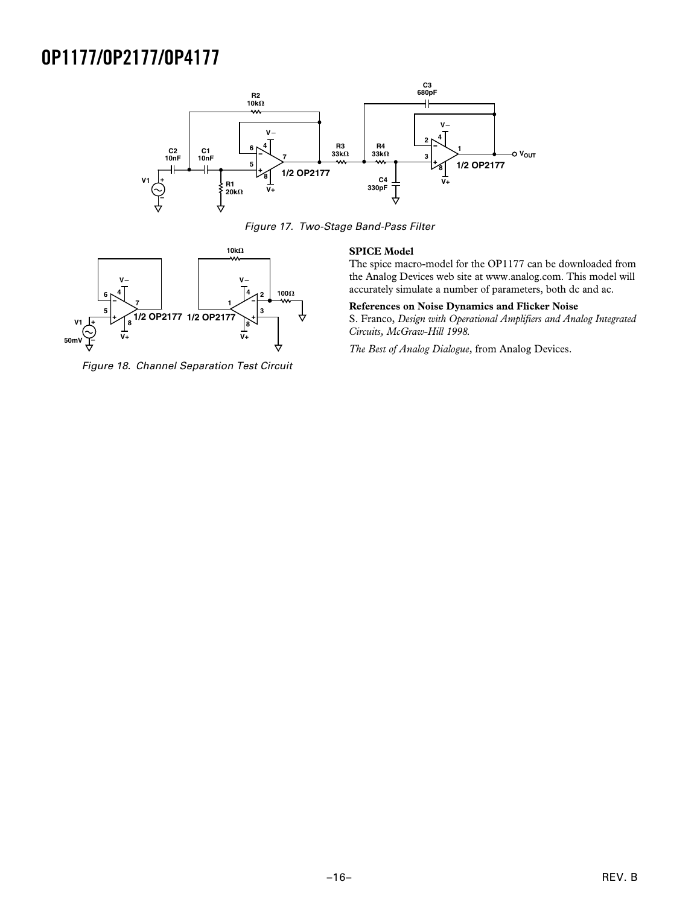

Figure 17. Two-Stage Band-Pass Filter



Figure 18. Channel Separation Test Circuit

#### **SPICE Model**

The spice macro-model for the OP1177 can be downloaded from the Analog Devices web site at www.analog.com. This model will accurately simulate a number of parameters, both dc and ac.

#### **References on Noise Dynamics and Flicker Noise**

S. Franco, *Design with Operational Amplifiers and Analog Integrated Circuits, McGraw-Hill 1998.*

*The Best of Analog Dialogue,* from Analog Devices.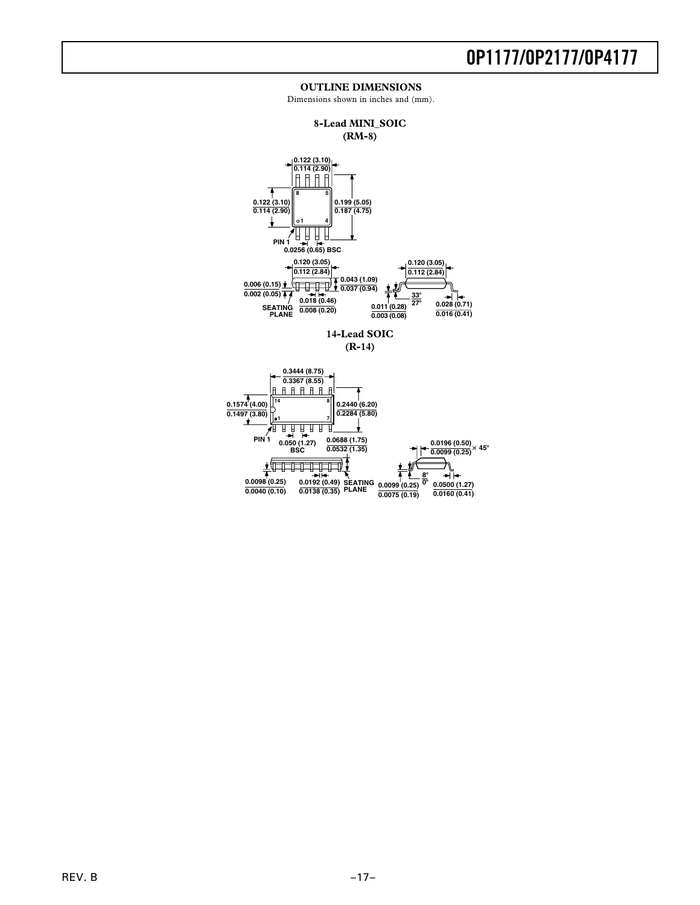#### **OUTLINE DIMENSIONS**

Dimensions shown in inches and (mm).



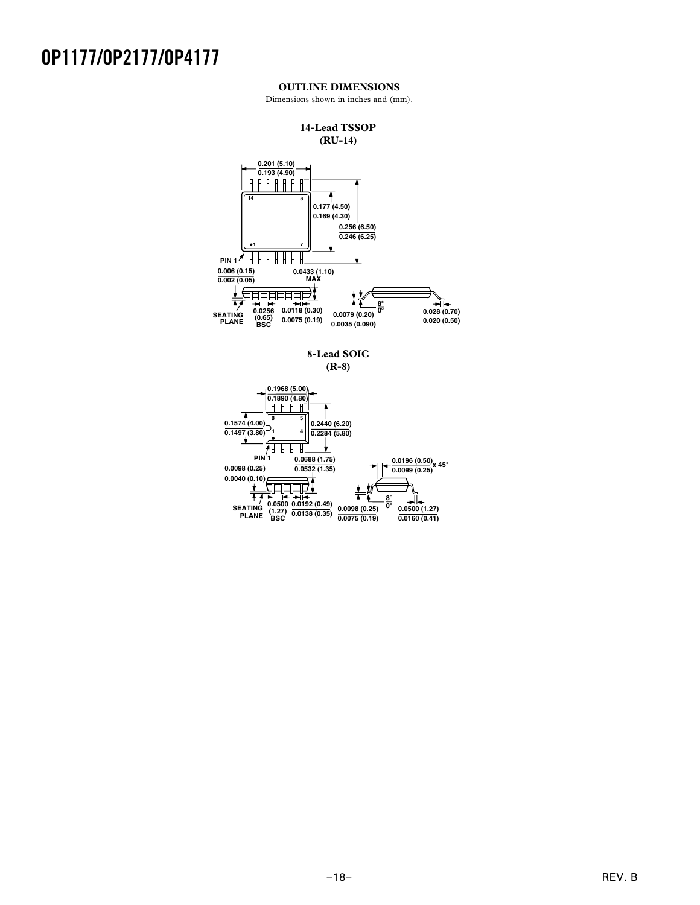### **OUTLINE DIMENSIONS**

Dimensions shown in inches and (mm).





**8-Lead SOIC (R-8)**

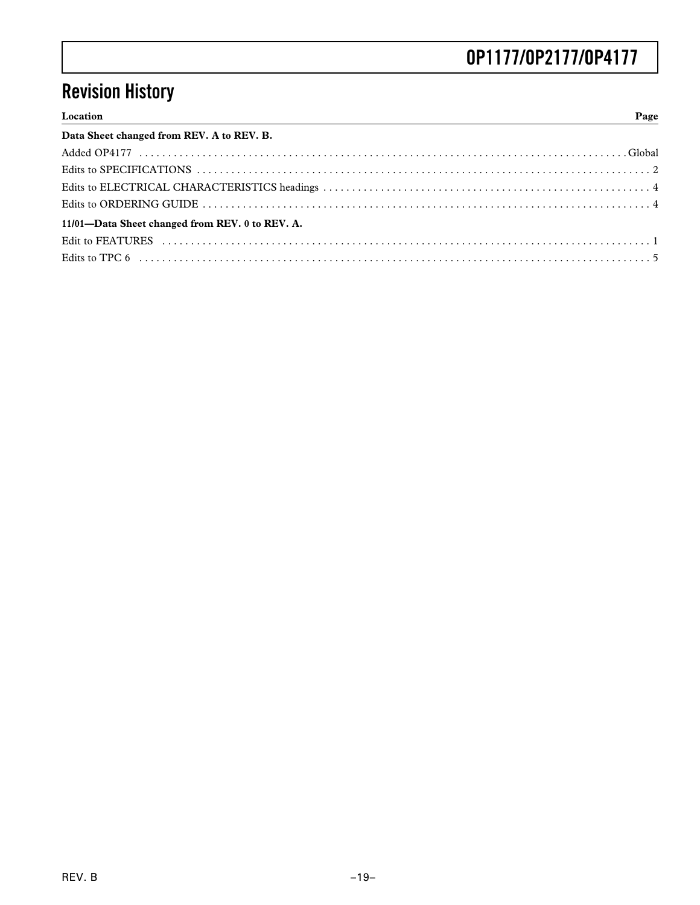# **Revision History**

| Location<br>. | Page |
|---------------|------|

| Data Sheet changed from REV. A to REV. B.       |
|-------------------------------------------------|
|                                                 |
|                                                 |
|                                                 |
|                                                 |
| 11/01-Data Sheet changed from REV. 0 to REV. A. |
|                                                 |
|                                                 |